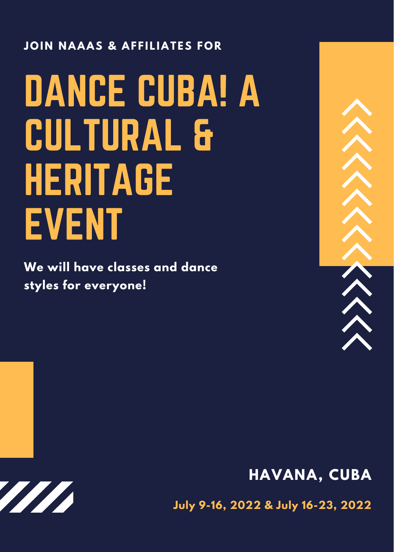#### **JOIN NAAAS & AFFILIATES FOR**

# DANCE CUBA! A CULTURAL & **HERITAGE** EVENT

**We will have classes and dance styles for everyone!**



## **HAVANA, CUBA**

**TITTI** 

**July 9-16, 2022 & July 16-23, 2022**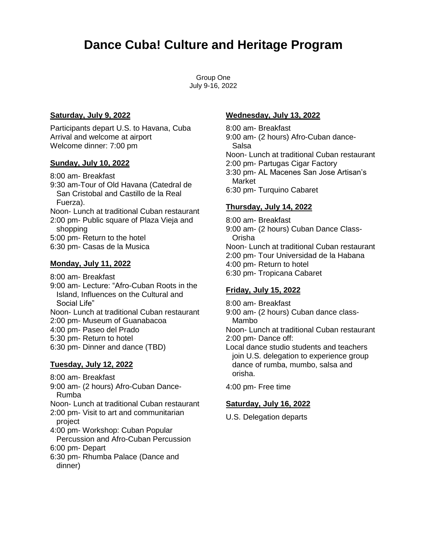# **Dance Cuba! Culture and Heritage Program**

Group One July 9-16, 2022

#### **Saturday, July 9, 2022**

Participants depart U.S. to Havana, Cuba Arrival and welcome at airport Welcome dinner: 7:00 pm

#### **Sunday, July 10, 2022**

8:00 am- Breakfast 9:30 am-Tour of Old Havana (Catedral de San Cristobal and Castillo de la Real Fuerza). Noon- Lunch at traditional Cuban restaurant 2:00 pm- Public square of Plaza Vieja and shopping 5:00 pm- Return to the hotel 6:30 pm- Casas de la Musica

#### **Monday, July 11, 2022**

- 8:00 am- Breakfast
- 9:00 am- Lecture: "Afro-Cuban Roots in the Island, Influences on the Cultural and Social Life"

Noon- Lunch at traditional Cuban restaurant

- 2:00 pm- Museum of Guanabacoa
- 4:00 pm- Paseo del Prado
- 5:30 pm- Return to hotel
- 6:30 pm- Dinner and dance (TBD)

#### **Tuesday, July 12, 2022**

- 8:00 am- Breakfast
- 9:00 am- (2 hours) Afro-Cuban Dance-Rumba

Noon- Lunch at traditional Cuban restaurant

2:00 pm- Visit to art and communitarian project

4:00 pm- Workshop: Cuban Popular

Percussion and Afro-Cuban Percussion 6:00 pm- Depart

6:30 pm- Rhumba Palace (Dance and dinner)

#### **Wednesday, July 13, 2022**

8:00 am- Breakfast 9:00 am- (2 hours) Afro-Cuban dance-Salsa Noon- Lunch at traditional Cuban restaurant 2:00 pm- Partugas Cigar Factory 3:30 pm- AL Macenes San Jose Artisan's Market 6:30 pm- Turquino Cabaret

#### **Thursday, July 14, 2022**

8:00 am- Breakfast 9:00 am- (2 hours) Cuban Dance Class-Orisha Noon- Lunch at traditional Cuban restaurant 2:00 pm- Tour Universidad de la Habana 4:00 pm- Return to hotel 6:30 pm- Tropicana Cabaret

#### **Friday, July 15, 2022**

8:00 am- Breakfast

9:00 am- (2 hours) Cuban dance class-Mambo

Noon- Lunch at traditional Cuban restaurant 2:00 pm- Dance off:

Local dance studio students and teachers join U.S. delegation to experience group dance of rumba, mumbo, salsa and orisha.

4:00 pm- Free time

#### **Saturday, July 16, 2022**

U.S. Delegation departs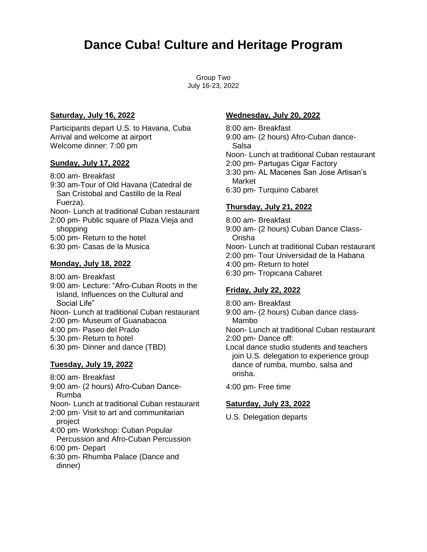# **Dance Cuba! Culture and Heritage Program**

Group Two July 16-23, 2022

#### **Saturday, July 16, 2022**

Participants depart U.S. to Havana, Cuba Arrival and welcome at airport Welcome dinner: 7:00 pm

#### **Sunday, July 17, 2022**

8:00 am- Breakfast 9:30 am-Tour of Old Havana (Catedral de San Cristobal and Castillo de la Real Fuerza). Noon- Lunch at traditional Cuban restaurant 2:00 pm- Public square of Plaza Vieja and shopping 5:00 pm- Return to the hotel 6:30 pm- Casas de la Musica

#### **Monday, July 18, 2022**

- 8:00 am- Breakfast
- 9:00 am- Lecture: "Afro-Cuban Roots in the Island, Influences on the Cultural and Social Life"

Noon- Lunch at traditional Cuban restaurant

- 2:00 pm- Museum of Guanabacoa
- 4:00 pm- Paseo del Prado
- 5:30 pm- Return to hotel
- 6:30 pm- Dinner and dance (TBD)

#### **Tuesday, July 19, 2022**

- 8:00 am- Breakfast
- 9:00 am- (2 hours) Afro-Cuban Dance-Rumba

Noon- Lunch at traditional Cuban restaurant

2:00 pm- Visit to art and communitarian project

4:00 pm- Workshop: Cuban Popular

Percussion and Afro-Cuban Percussion 6:00 pm- Depart

6:30 pm- Rhumba Palace (Dance and dinner)

#### **Wednesday, July 20, 2022**

8:00 am- Breakfast 9:00 am- (2 hours) Afro-Cuban dance-Salsa Noon- Lunch at traditional Cuban restaurant 2:00 pm- Partugas Cigar Factory 3:30 pm- AL Macenes San Jose Artisan's Market 6:30 pm- Turquino Cabaret

#### **Thursday, July 21, 2022**

8:00 am- Breakfast 9:00 am- (2 hours) Cuban Dance Class-Orisha Noon- Lunch at traditional Cuban restaurant 2:00 pm- Tour Universidad de la Habana 4:00 pm- Return to hotel 6:30 pm- Tropicana Cabaret

#### **Friday, July 22, 2022**

8:00 am- Breakfast

9:00 am- (2 hours) Cuban dance class-Mambo

Noon- Lunch at traditional Cuban restaurant 2:00 pm- Dance off:

Local dance studio students and teachers join U.S. delegation to experience group dance of rumba, mumbo, salsa and orisha.

4:00 pm- Free time

#### **Saturday, July 23, 2022**

U.S. Delegation departs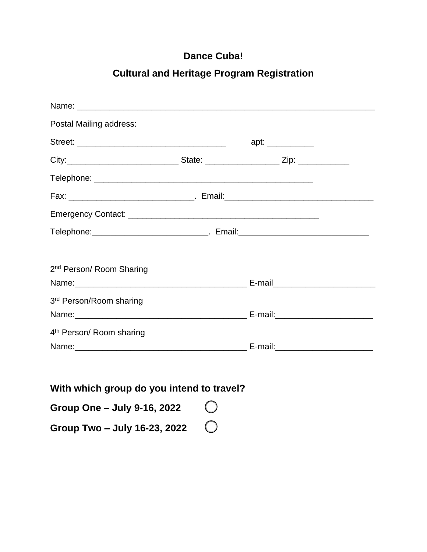## **Dance Cuba!**

## **Cultural and Heritage Program Registration**

| Name: 2008.000 Name: 2008.000 Name: 2008.000 Name: 2008.000 Name: 2008.000 Name: 2008.000 Name: 2008.000 Name: 2008.000 Name: 2008.000 Name: 2008.000 Name: 2008.000 Name: 2008.000 Name: 2008.000 Name: 2008.000 Name: 2008.0 |  |
|--------------------------------------------------------------------------------------------------------------------------------------------------------------------------------------------------------------------------------|--|
| Postal Mailing address:                                                                                                                                                                                                        |  |
|                                                                                                                                                                                                                                |  |
|                                                                                                                                                                                                                                |  |
|                                                                                                                                                                                                                                |  |
| Fax: _________________________________. Email:__________________________________                                                                                                                                               |  |
|                                                                                                                                                                                                                                |  |
| Telephone: __________________________________. Email: ___________________________                                                                                                                                              |  |
|                                                                                                                                                                                                                                |  |
| 2 <sup>nd</sup> Person/ Room Sharing                                                                                                                                                                                           |  |
|                                                                                                                                                                                                                                |  |
| 3rd Person/Room sharing                                                                                                                                                                                                        |  |
|                                                                                                                                                                                                                                |  |
| 4 <sup>th</sup> Person/ Room sharing                                                                                                                                                                                           |  |
|                                                                                                                                                                                                                                |  |

**With which group do you intend to travel?**

**Group One – July 9-16, 2022 Group Two – July 16-23, 2022**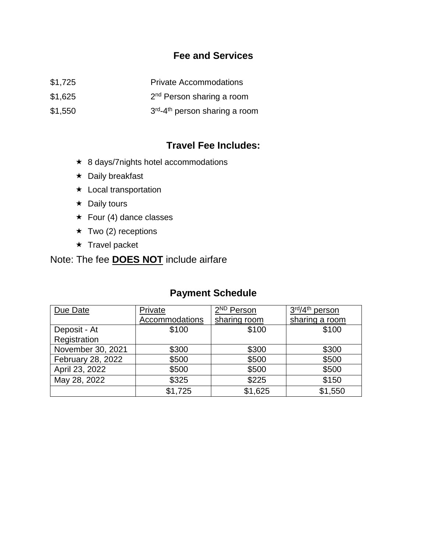## **Fee and Services**

- \$1,725 Private Accommodations
- \$1,625 2 2<sup>nd</sup> Person sharing a room
- $$1,550$ <sup>rd</sup>-4<sup>th</sup> person sharing a room

## **Travel Fee Includes:**

- ★ 8 days/7nights hotel accommodations
- $\star$  Daily breakfast
- **\*** Local transportation
- $\star$  Daily tours
- $\star$  Four (4) dance classes
- $\star$  Two (2) receptions
- $\star$  Travel packet

## Note: The fee **DOES NOT** include airfare

## **Payment Schedule**

| Due Date          | Private        | 2 <sup>ND</sup> Person | 3rd/4 <sup>th</sup> person |
|-------------------|----------------|------------------------|----------------------------|
|                   | Accommodations | sharing room           | sharing a room             |
| Deposit - At      | \$100          | \$100                  | \$100                      |
| Registration      |                |                        |                            |
| November 30, 2021 | \$300          | \$300                  | \$300                      |
| February 28, 2022 | \$500          | \$500                  | \$500                      |
| April 23, 2022    | \$500          | \$500                  | \$500                      |
| May 28, 2022      | \$325          | \$225                  | \$150                      |
|                   | \$1,725        | \$1,625                | \$1,550                    |